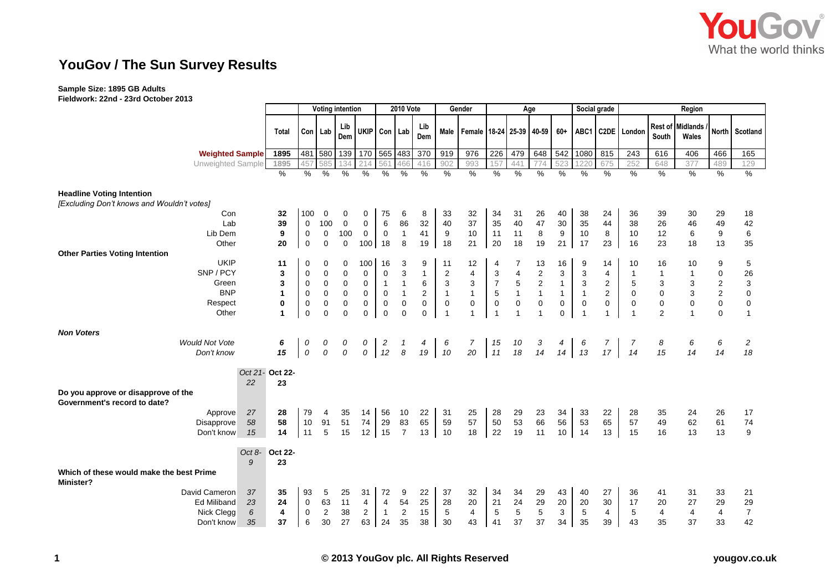

## **YouGov / The Sun Survey Results**

## **Sample Size: 1895 GB Adults**

**Fieldwork: 22nd - 23rd October 2013**

|                                                                                |                 |              | <b>Voting intention</b> |                |             |                | <b>2010 Vote</b> |                           |              | Gender                  |                          | Age                  |                |                | Social grade |                         | Region         |                |                |                           |                  |                |
|--------------------------------------------------------------------------------|-----------------|--------------|-------------------------|----------------|-------------|----------------|------------------|---------------------------|--------------|-------------------------|--------------------------|----------------------|----------------|----------------|--------------|-------------------------|----------------|----------------|----------------|---------------------------|------------------|----------------|
|                                                                                |                 | <b>Total</b> |                         | Con Lab        | Lib<br>Dem  | <b>UKIP</b>    | Con Lab          |                           | Lib<br>Dem   | Male                    | Female 18-24 25-39 40-59 |                      |                |                | $60+$        | ABC1                    |                | C2DE London    | South          | Rest of Midlands<br>Wales | North            | Scotland       |
| <b>Weighted Sample</b>                                                         |                 | 1895         |                         | 481 580        | 139         | 170            | 565 483          |                           | 370          | 919                     | 976                      | 226                  | 479            | 648            | 542          | 1080                    | 815            | 243            | 616            | 406                       | 466              | 165            |
| Unweighted Sample                                                              |                 | 1895         | 457                     | 585            | 134         | 214            | 561              | 466                       | 416          | 902                     | 993                      | 157                  | 441            | 774            | 523          | 1220                    | 675            | 252            | 648            | 377                       | 489              | 129            |
|                                                                                |                 | $\%$         | %                       | %              | %           | %              | %                | %                         | %            | %                       | %                        | $\frac{1}{\sqrt{2}}$ | $\%$           | %              | %            | %                       | %              | $\%$           | $\%$           | $\%$                      | %                | %              |
| <b>Headline Voting Intention</b><br>[Excluding Don't knows and Wouldn't votes] |                 |              |                         |                |             |                |                  |                           |              |                         |                          |                      |                |                |              |                         |                |                |                |                           |                  |                |
| Con                                                                            |                 | 32           | 100                     | $\mathbf 0$    | 0           | $\mathbf 0$    | 75               | 6                         | 8            | 33                      | 32                       | 34                   | 31             | 26             | 40           | 38                      | 24             | 36             | 39             | 30                        | 29               | 18             |
| Lab                                                                            |                 | 39           | $\mathbf 0$             | 100            | $\mathbf 0$ | $\mathbf 0$    | 6                | 86                        | 32           | 40                      | 37                       | 35                   | 40             | 47             | 30           | 35                      | 44             | 38             | 26             | 46                        | 49               | 42             |
| Lib Dem                                                                        |                 | 9            | $\mathbf 0$             | $\mathbf 0$    | 100         | $\mathbf 0$    | $\mathbf 0$      | $\overline{1}$            | 41           | 9                       | 10                       | 11                   | 11             | 8              | 9            | 10                      | 8              | 10             | 12             | 6                         | 9                | 6              |
| Other                                                                          |                 | 20           | $\pmb{0}$               | $\pmb{0}$      | $\mathbf 0$ | 100            | 18               | 8                         | 19           | 18                      | 21                       | 20                   | 18             | 19             | 21           | 17                      | 23             | 16             | 23             | 18                        | 13               | 35             |
| <b>Other Parties Voting Intention</b>                                          |                 |              |                         |                |             |                |                  |                           |              |                         |                          |                      |                |                |              |                         |                |                |                |                           |                  |                |
| <b>UKIP</b>                                                                    |                 | 11           | 0                       | 0              | 0           | 100            | 16               | 3                         | 9            | 11                      | 12                       | 4                    |                | 13             | 16           | 9                       | 14             | 10             | 16             | 10                        | 9                | 5              |
| SNP/PCY                                                                        |                 | 3            | 0                       | $\mathbf 0$    | 0           | $\mathbf 0$    | 0                | $\ensuremath{\mathsf{3}}$ | $\mathbf{1}$ | $\overline{\mathbf{c}}$ | 4                        | 3                    | 4              | $\sqrt{2}$     | 3            | 3                       | 4              | $\mathbf{1}$   | $\mathbf{1}$   |                           | 0                | 26             |
| Green                                                                          |                 | 3            | 0                       | 0              | 0           | $\mathbf 0$    | $\mathbf{1}$     | 1                         | 6            | 3                       | 3                        | $\overline{7}$       | 5              | $\overline{2}$ | $\mathbf{1}$ | 3                       | $\overline{2}$ | 5              | 3              |                           | $\boldsymbol{2}$ | 3              |
| <b>BNP</b>                                                                     |                 | 1            | 0                       | $\mathbf 0$    | $\mathbf 0$ | $\pmb{0}$      | 0                | $\overline{1}$            | $\mathbf 2$  | $\mathbf{1}$            | $\mathbf{1}$             | $\sqrt{5}$           | $\mathbf{1}$   | $\mathbf{1}$   | $\mathbf{1}$ | $\mathbf{1}$            | $\overline{2}$ | $\mathbf 0$    | $\mathbf 0$    | 3                         | $\boldsymbol{2}$ | 0              |
| Respect                                                                        |                 | $\bf{0}$     | 0                       | $\mathbf 0$    | $\pmb{0}$   | $\pmb{0}$      | $\mathbf 0$      | $\mathbf 0$               | 0            | 0                       | 0                        | $\mathbf 0$          | $\pmb{0}$      | $\pmb{0}$      | 0            | $\mathbf 0$             | $\mathbf 0$    | 0              | 0              | 0                         | $\mathbf 0$      | $\pmb{0}$      |
| Other                                                                          |                 | 1            | $\mathbf 0$             | $\Omega$       | $\mathbf 0$ | $\mathbf{0}$   | $\mathbf 0$      | $\mathbf 0$               | $\Omega$     | $\overline{1}$          | $\mathbf 1$              | $\overline{1}$       | $\overline{1}$ | $\overline{1}$ | 0            | $\overline{\mathbf{1}}$ | 1              | $\overline{1}$ | $\overline{2}$ | $\overline{1}$            | $\mathbf 0$      | $\overline{1}$ |
| <b>Non Voters</b>                                                              |                 |              |                         |                |             |                |                  |                           |              |                         |                          |                      |                |                |              |                         |                |                |                |                           |                  |                |
| <b>Would Not Vote</b>                                                          |                 | 6            | 0                       | 0              | 0           | 0              | $\overline{c}$   | 1                         | 4            | 6                       | $\overline{7}$           | 15                   | 10             | 3              | 4            | 6                       | 7              | 7              | 8              | 6                         | 6                | 2              |
| Don't know                                                                     |                 | 15           | ${\cal O}$              | $\cal O$       | $\cal O$    | $\cal O$       | 12               | $\boldsymbol{\delta}$     | 19           | 10                      | 20                       | 11                   | 18             | 14             | 14           | 13                      | 17             | 14             | 15             | 14                        | 14               | 18             |
|                                                                                |                 |              |                         |                |             |                |                  |                           |              |                         |                          |                      |                |                |              |                         |                |                |                |                           |                  |                |
|                                                                                | Oct 21- Oct 22- |              |                         |                |             |                |                  |                           |              |                         |                          |                      |                |                |              |                         |                |                |                |                           |                  |                |
| Do you approve or disapprove of the<br>Government's record to date?            | 22              | 23           |                         |                |             |                |                  |                           |              |                         |                          |                      |                |                |              |                         |                |                |                |                           |                  |                |
| Approve                                                                        | 27              | 28           | 79                      | 4              | 35          | 14             | 56               | 10                        | 22           | 31                      | 25                       | 28                   | 29             | 23             | 34           | 33                      | 22             | 28             | 35             | 24                        | 26               | 17             |
| Disapprove                                                                     | 58              | 58           | 10                      | 91             | 51          | 74             | 29               | 83                        | 65           | 59                      | 57                       | 50                   | 53             | 66             | 56           | 53                      | 65             | 57             | 49             | 62                        | 61               | $\bf 74$       |
| Don't know                                                                     | 15              | 14           | 11                      | 5              | 15          | 12             | 15               | $\overline{7}$            | 13           | 10                      | 18                       | 22                   | 19             | 11             | 10           | 14                      | 13             | 15             | 16             | 13                        | 13               | 9              |
|                                                                                |                 |              |                         |                |             |                |                  |                           |              |                         |                          |                      |                |                |              |                         |                |                |                |                           |                  |                |
|                                                                                | Oct $8-$        | Oct 22-      |                         |                |             |                |                  |                           |              |                         |                          |                      |                |                |              |                         |                |                |                |                           |                  |                |
| Which of these would make the best Prime<br>Minister?                          | 9               | 23           |                         |                |             |                |                  |                           |              |                         |                          |                      |                |                |              |                         |                |                |                |                           |                  |                |
| David Cameron                                                                  | 37              | 35           | 93                      | 5              | 25          | 31             | 72               | 9                         | 22           | 37                      | 32                       | 34                   | 34             | 29             | 43           | 40                      | 27             | 36             | 41             | 31                        | 33               | 21             |
| <b>Ed Miliband</b>                                                             | 23              | 24           | 0                       | 63             | 11          | 4              | $\overline{4}$   | 54                        | 25           | 28                      | 20                       | 21                   | 24             | 29             | 20           | 20                      | 30             | 17             | 20             | 27                        | 29               | 29             |
| Nick Clegg                                                                     | 6               | 4            | 0                       | $\overline{c}$ | 38          | $\overline{c}$ | $\overline{1}$   | 2                         | 15           | 5                       | 4                        | 5                    | 5              | $\,$ 5 $\,$    | 3            | 5                       | 4              | 5              | 4              | 4                         | $\overline{4}$   | $\overline{7}$ |
| Don't know                                                                     | 35              | 37           | 6                       | 30             | 27          | 63             | 24               | 35                        | 38           | 30                      | 43                       | 41                   | 37             | 37             | 34           | 35                      | 39             | 43             | 35             | 37                        | 33               | 42             |